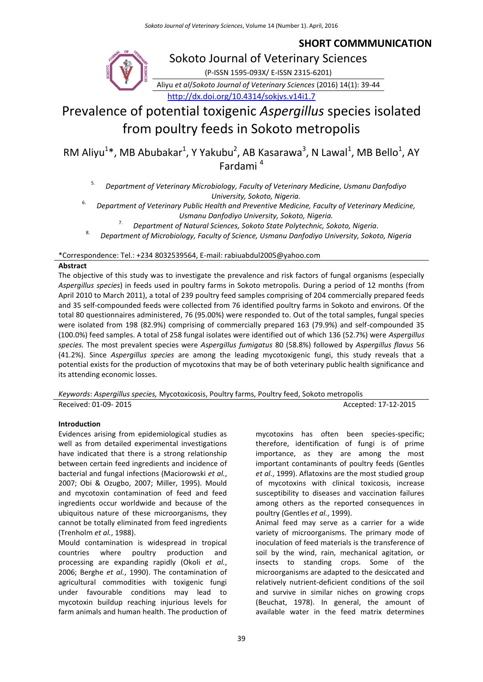### **SHORT COMMMUNICATION**

Sokoto Journal of Veterinary Sciences

(P-ISSN 1595-093X/ E-ISSN 2315-6201)

Aliyu *et al*/*Sokoto Journal of Veterinary Sciences* (2016) 14(1): 39-44 <http://dx.doi.org/10.4314/sokjvs.v14i1.7>

# Prevalence of potential toxigenic *Aspergillus* species isolated from poultry feeds in Sokoto metropolis

RM Aliyu<sup>1</sup>\*, MB Abubakar<sup>1</sup>, Y Yakubu<sup>2</sup>, AB Kasarawa<sup>3</sup>, N Lawal<sup>1</sup>, MB Bello<sup>1</sup>, AY Fardami <sup>4</sup>

5. *Department of Veterinary Microbiology, Faculty of Veterinary Medicine, Usmanu Danfodiyo University, Sokoto, Nigeria.*

6. *Department of Veterinary Public Health and Preventive Medicine, Faculty of Veterinary Medicine, Usmanu Danfodiyo University, Sokoto, Nigeria.*

7. *Department of Natural Sciences, Sokoto State Polytechnic, Sokoto, Nigeria.*

8. *Department of Microbiology, Faculty of Science, Usmanu Danfodiyo University, Sokoto, Nigeria*

\*Correspondence: Tel.: +234 8032539564, E-mail: rabiuabdul2005@yahoo.com

#### **Abstract**

The objective of this study was to investigate the prevalence and risk factors of fungal organisms (especially *Aspergillus species*) in feeds used in poultry farms in Sokoto metropolis. During a period of 12 months (from April 2010 to March 2011), a total of 239 poultry feed samples comprising of 204 commercially prepared feeds and 35 self-compounded feeds were collected from 76 identified poultry farms in Sokoto and environs. Of the total 80 questionnaires administered, 76 (95.00%) were responded to. Out of the total samples, fungal species were isolated from 198 (82.9%) comprising of commercially prepared 163 (79.9%) and self-compounded 35 (100.0%) feed samples. A total of 258 fungal isolates were identified out of which 136 (52.7%) were *Aspergillus species.* The most prevalent species were *Aspergillus fumigatus* 80 (58.8%) followed by *Aspergillus flavus* 56 (41.2%). Since *Aspergillus species* are among the leading mycotoxigenic fungi, this study reveals that a potential exists for the production of mycotoxins that may be of both veterinary public health significance and its attending economic losses.

*Keywords*: *Aspergillus species,* Mycotoxicosis, Poultry farms, Poultry feed, Sokoto metropolis

Received: 01-09- 2015 **Accepted: 17-12-2015** 

#### **Introduction**

Evidences arising from epidemiological studies as well as from detailed experimental investigations have indicated that there is a strong relationship between certain feed ingredients and incidence of bacterial and fungal infections (Maciorowski *et al.*, 2007; Obi & Ozugbo, 2007; Miller, 1995). Mould and mycotoxin contamination of feed and feed ingredients occur worldwide and because of the ubiquitous nature of these microorganisms, they cannot be totally eliminated from feed ingredients (Trenholm *et al.*, 1988).

Mould contamination is widespread in tropical countries where poultry production and processing are expanding rapidly (Okoli *et al.*, 2006; Berghe *et al.*, 1990). The contamination of agricultural commodities with toxigenic fungi under favourable conditions may lead to mycotoxin buildup reaching injurious levels for farm animals and human health. The production of mycotoxins has often been species-specific; therefore, identification of fungi is of prime importance, as they are among the most important contaminants of poultry feeds (Gentles *et al.*, 1999). Aflatoxins are the most studied group of mycotoxins with clinical toxicosis, increase susceptibility to diseases and vaccination failures among others as the reported consequences in poultry (Gentles *et al.*, 1999).

Animal feed may serve as a carrier for a wide variety of microorganisms. The primary mode of inoculation of feed materials is the transference of soil by the wind, rain, mechanical agitation, or insects to standing crops. Some of the microorganisms are adapted to the desiccated and relatively nutrient-deficient conditions of the soil and survive in similar niches on growing crops (Beuchat, 1978). In general, the amount of available water in the feed matrix determines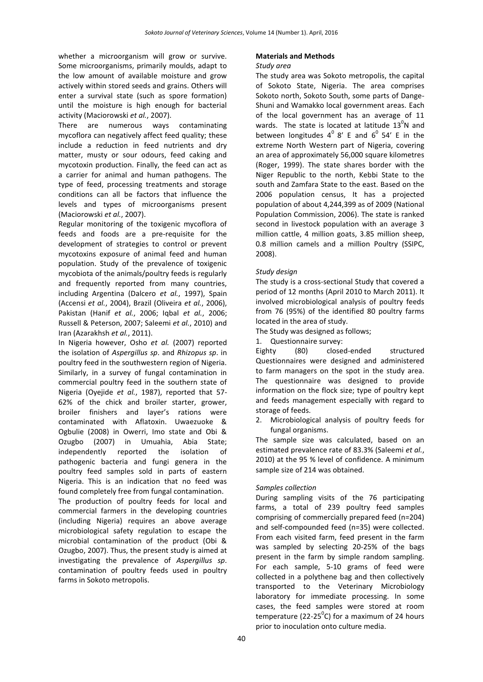whether a microorganism will grow or survive. Some microorganisms, primarily moulds, adapt to the low amount of available moisture and grow actively within stored seeds and grains. Others will enter a survival state (such as spore formation) until the moisture is high enough for bacterial activity (Maciorowski *et al.*, 2007).

There are numerous ways contaminating mycoflora can negatively affect feed quality; these include a reduction in feed nutrients and dry matter, musty or sour odours, feed caking and mycotoxin production. Finally, the feed can act as a carrier for animal and human pathogens. The type of feed, processing treatments and storage conditions can all be factors that influence the levels and types of microorganisms present (Maciorowski *et al.*, 2007).

Regular monitoring of the toxigenic mycoflora of feeds and foods are a pre-requisite for the development of strategies to control or prevent mycotoxins exposure of animal feed and human population. Study of the prevalence of toxigenic mycobiota of the animals/poultry feeds is regularly and frequently reported from many countries, including Argentina (Dalcero *et al.*, 1997), Spain (Accensi *et al.*, 2004), Brazil (Oliveira *et al.*, 2006), Pakistan (Hanif *et al.*, 2006; Iqbal *et al.*, 2006; Russell & Peterson, 2007; Saleemi *et al.*, 2010) and Iran (Azarakhsh *et al.*, 2011).

In Nigeria however, Osho *et al.* (2007) reported the isolation of *Aspergillus sp*. and *Rhizopus sp*. in poultry feed in the southwestern region of Nigeria. Similarly, in a survey of fungal contamination in commercial poultry feed in the southern state of Nigeria (Oyejide *et al.*, 1987), reported that 57- 62% of the chick and broiler starter, grower, broiler finishers and layer's rations were contaminated with Aflatoxin. Uwaezuoke & Ogbulie (2008) in Owerri, Imo state and Obi & Ozugbo (2007) in Umuahia, Abia State; independently reported the isolation of pathogenic bacteria and fungi genera in the poultry feed samples sold in parts of eastern Nigeria. This is an indication that no feed was found completely free from fungal contamination.

The production of poultry feeds for local and commercial farmers in the developing countries (including Nigeria) requires an above average microbiological safety regulation to escape the microbial contamination of the product (Obi & Ozugbo, 2007). Thus, the present study is aimed at investigating the prevalence of *Aspergillus sp*. contamination of poultry feeds used in poultry farms in Sokoto metropolis.

## **Materials and Methods**

#### *Study area*

The study area was Sokoto metropolis, the capital of Sokoto State, Nigeria. The area comprises Sokoto north, Sokoto South, some parts of Dange-Shuni and Wamakko local government areas. Each of the local government has an average of 11 wards. The state is located at latitude  $13^0$ N and between longitudes  $4^0$  8' E and  $6^0$  54' E in the extreme North Western part of Nigeria, covering an area of approximately 56,000 square kilometres (Roger, 1999). The state shares border with the Niger Republic to the north, Kebbi State to the south and Zamfara State to the east. Based on the 2006 population census, It has a projected population of about 4,244,399 as of 2009 (National Population Commission, 2006). The state is ranked second in livestock population with an average 3 million cattle, 4 million goats, 3.85 million sheep, 0.8 million camels and a million Poultry (SSIPC, 2008).

#### *Study design*

The study is a cross-sectional Study that covered a period of 12 months (April 2010 to March 2011). It involved microbiological analysis of poultry feeds from 76 (95%) of the identified 80 poultry farms located in the area of study.

The Study was designed as follows;

1. Questionnaire survey:

Eighty (80) closed-ended structured Questionnaires were designed and administered to farm managers on the spot in the study area. The questionnaire was designed to provide information on the flock size; type of poultry kept and feeds management especially with regard to storage of feeds.

2. Microbiological analysis of poultry feeds for fungal organisms.

The sample size was calculated, based on an estimated prevalence rate of 83.3% (Saleemi *et al.*, 2010) at the 95 % level of confidence. A minimum sample size of 214 was obtained.

#### *Samples collection*

During sampling visits of the 76 participating farms, a total of 239 poultry feed samples comprising of commercially prepared feed (n=204) and self-compounded feed (n=35) were collected. From each visited farm, feed present in the farm was sampled by selecting 20-25% of the bags present in the farm by simple random sampling. For each sample, 5-10 grams of feed were collected in a polythene bag and then collectively transported to the Veterinary Microbiology laboratory for immediate processing. In some cases, the feed samples were stored at room temperature (22-25 $^0$ C) for a maximum of 24 hours prior to inoculation onto culture media.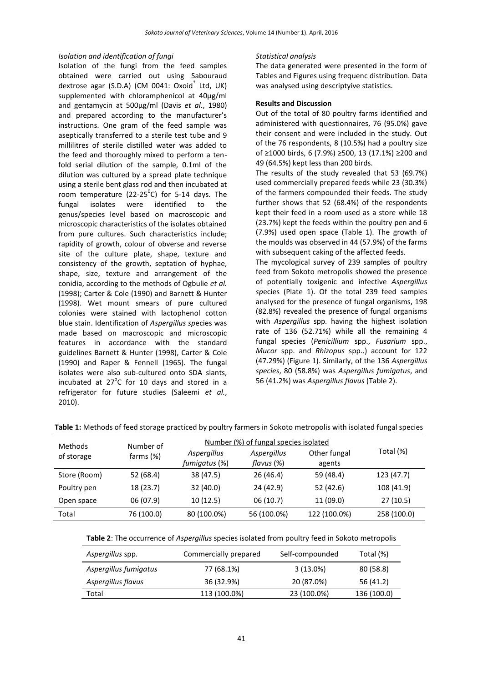#### *Isolation and identification of fungi*

Isolation of the fungi from the feed samples obtained were carried out using Sabouraud dextrose agar (S.D.A) (CM 0041: Oxoid<sup>®</sup> Ltd, UK) supplemented with chloramphenicol at 40µg/ml and gentamycin at 500µg/ml (Davis *et al.*, 1980) and prepared according to the manufacturer's instructions. One gram of the feed sample was aseptically transferred to a sterile test tube and 9 millilitres of sterile distilled water was added to the feed and thoroughly mixed to perform a tenfold serial dilution of the sample, 0.1ml of the dilution was cultured by a spread plate technique using a sterile bent glass rod and then incubated at room temperature (22-25 $^0$ C) for 5-14 days. The fungal isolates were identified to the genus/species level based on macroscopic and microscopic characteristics of the isolates obtained from pure cultures. Such characteristics include; rapidity of growth, colour of obverse and reverse site of the culture plate, shape, texture and consistency of the growth, septation of hyphae, shape, size, texture and arrangement of the conidia, according to the methods of Ogbulie *et al.* (1998); Carter & Cole (1990) and Barnett & Hunter (1998). Wet mount smears of pure cultured colonies were stained with lactophenol cotton blue stain. Identification of *Aspergillus sp*ecies was made based on macroscopic and microscopic features in accordance with the standard guidelines Barnett & Hunter (1998), Carter & Cole (1990) and Raper & Fennell (1965). The fungal isolates were also sub-cultured onto SDA slants, incubated at  $27^{\circ}$ C for 10 days and stored in a refrigerator for future studies (Saleemi *et al.*, 2010).

#### *Statistical analysis*

The data generated were presented in the form of Tables and Figures using frequenc distribution. Data was analysed using descriptyive statistics.

#### **Results and Discussion**

Out of the total of 80 poultry farms identified and administered with questionnaires, 76 (95.0%) gave their consent and were included in the study. Out of the 76 respondents, 8 (10.5%) had a poultry size of ≥1000 birds, 6 (7.9%) ≥500, 13 (17.1%) ≥200 and 49 (64.5%) kept less than 200 birds.

The results of the study revealed that 53 (69.7%) used commercially prepared feeds while 23 (30.3%) of the farmers compounded their feeds. The study further shows that 52 (68.4%) of the respondents kept their feed in a room used as a store while 18 (23.7%) kept the feeds within the poultry pen and 6 (7.9%) used open space (Table 1). The growth of the moulds was observed in 44 (57.9%) of the farms with subsequent caking of the affected feeds.

The mycological survey of 239 samples of poultry feed from Sokoto metropolis showed the presence of potentially toxigenic and infective *Aspergillus sp*ecies (Plate 1). Of the total 239 feed samples analysed for the presence of fungal organisms, 198 (82.8%) revealed the presence of fungal organisms with *Aspergillus* spp*.* having the highest isolation rate of 136 (52.71%) while all the remaining 4 fungal species (*Penicillium* spp., *Fusarium* spp., *Mucor* spp. and *Rhizopus* spp..) account for 122 (47.29%) (Figure 1). Similarly, of the 136 *Aspergillus species*, 80 (58.8%) was *Aspergillus fumigatus*, and 56 (41.2%) was *Aspergillus flavus* (Table 2).

| <b>Methods</b><br>of storage | Number of<br>farms $(\%)$ | Number (%) of fungal species isolated |                           |                        |             |
|------------------------------|---------------------------|---------------------------------------|---------------------------|------------------------|-------------|
|                              |                           | Aspergillus<br>fumigatus (%)          | Aspergillus<br>flavus (%) | Other fungal<br>agents | Total (%)   |
| Store (Room)                 | 52 (68.4)                 | 38 (47.5)                             | 26(46.4)                  | 59 (48.4)              | 123 (47.7)  |
| Poultry pen                  | 18 (23.7)                 | 32(40.0)                              | 24 (42.9)                 | 52(42.6)               | 108 (41.9)  |
| Open space                   | 06(07.9)                  | 10(12.5)                              | 06(10.7)                  | 11(09.0)               | 27(10.5)    |
| Total                        | 76 (100.0)                | 80 (100.0%)                           | 56 (100.0%)               | 122 (100.0%)           | 258 (100.0) |

**Table 1:** Methods of feed storage practiced by poultry farmers in Sokoto metropolis with isolated fungal species

| Table 2: The occurrence of Aspergillus species isolated from poultry feed in Sokoto metropolis |  |  |  |  |
|------------------------------------------------------------------------------------------------|--|--|--|--|
|------------------------------------------------------------------------------------------------|--|--|--|--|

| Aspergillus spp.      | Commercially prepared | Self-compounded | Total (%)   |
|-----------------------|-----------------------|-----------------|-------------|
| Aspergillus fumigatus | 77 (68.1%)            | $3(13.0\%)$     | 80 (58.8)   |
| Aspergillus flavus    | 36 (32.9%)            | 20 (87.0%)      | 56 (41.2)   |
| Total                 | 113 (100.0%)          | 23 (100.0%)     | 136 (100.0) |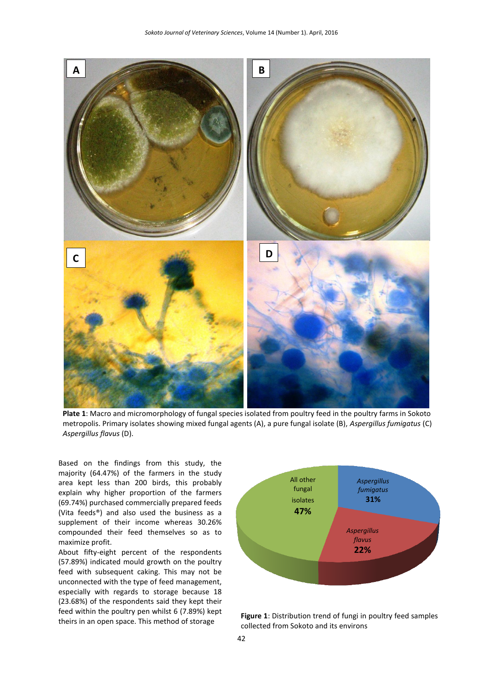

**Plate 1**: Macro and micromorphology of fungal species isolated from poultry feed in the poultry farms in Sokoto metropolis. Primary isolates showing mixed fungal agents (A), a pure fungal isolate (B), *Aspergillus fumigatus* (C) *Aspergillus flavus* (D).

Based on the findings from this study, the majority (64.47%) of the farmers in the study area kept less than 200 birds, this probably explain why higher proportion of the farmers (69.74%) purchased commercially prepared feeds (Vita feeds®) and also used the business as a supplement of their income whereas 30.26% compounded their feed themselves so as to maximize profit.

About fifty-eight percent of the respondents (57.89%) indicated mould growth on the poultry feed with subsequent caking. This may not be unconnected with the type of feed management, especially with regards to storage because 18 (23.68%) of the respondents said they kept their feed within the poultry pen whilst 6 (7.89%) kept



theirs in an open space. This method of storage **Figure 1**: Distribution trend of fungi in poultry feed samples theirs in an open space. This method of storage collected from Sokoto and its environs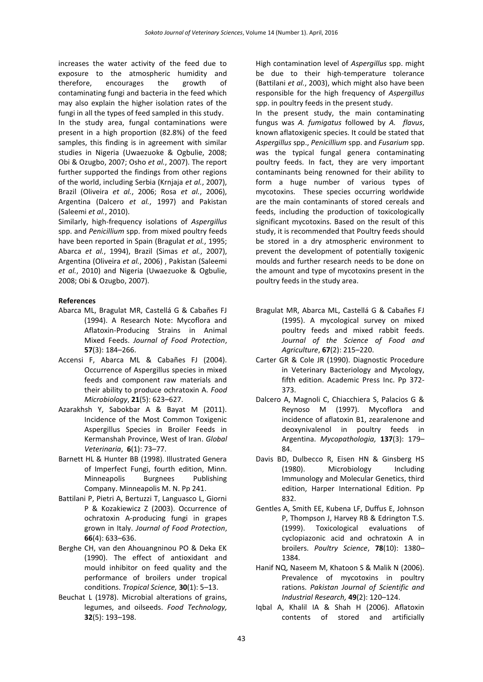increases the water activity of the feed due to exposure to the atmospheric humidity and therefore, encourages the growth of contaminating fungi and bacteria in the feed which may also explain the higher isolation rates of the fungi in all the types of feed sampled in this study.

In the study area, fungal contaminations were present in a high proportion (82.8%) of the feed samples, this finding is in agreement with similar studies in Nigeria (Uwaezuoke & Ogbulie, 2008; Obi & Ozugbo, 2007; Osho *et al.*, 2007). The report further supported the findings from other regions of the world, including Serbia (Krnjaja *et al.*, 2007), Brazil (Oliveira *et al.*, 2006; Rosa *et al.*, 2006), Argentina (Dalcero *et al.*, 1997) and Pakistan (Saleemi *et al.*, 2010).

Similarly, high-frequency isolations of *Aspergillus*  spp. and *Penicillium* spp. from mixed poultry feeds have been reported in Spain (Bragulat *et al.*, 1995; Abarca *et al.*, 1994), Brazil (Simas *et al.*, 2007), Argentina (Oliveira *et al.*, 2006) , Pakistan (Saleemi *et al.*, 2010) and Nigeria (Uwaezuoke & Ogbulie, 2008; Obi & Ozugbo, 2007).

#### **References**

- Abarca ML, Bragulat MR, Castellá G & Cabañes FJ (1994). A Research Note: Mycoflora and Aflatoxin-Producing Strains in Animal Mixed Feeds. *Journal of Food Protection*, **57**(3): 184–266.
- Accensi F, Abarca ML & Cabañes FJ (2004). Occurrence of Aspergillus species in mixed feeds and component raw materials and their ability to produce ochratoxin A. *Food Microbiology*, **21**(5): 623–627.
- Azarakhsh Y, Sabokbar A & Bayat M (2011). Incidence of the Most Common Toxigenic Aspergillus Species in Broiler Feeds in Kermanshah Province, West of Iran. *Global Veterinaria*, **6**(1): 73–77.
- Barnett HL & Hunter BB (1998). Illustrated Genera of Imperfect Fungi, fourth edition, Minn. Minneapolis Burgnees Publishing Company. Minneapolis M. N. Pp 241.
- Battilani P, Pietri A, Bertuzzi T, Languasco L, Giorni P & Kozakiewicz Z (2003). Occurrence of ochratoxin A-producing fungi in grapes grown in Italy. *Journal of Food Protection*, **66**(4): 633–636.
- Berghe CH, van den Ahouangninou PO & Deka EK (1990). The effect of antioxidant and mould inhibitor on feed quality and the performance of broilers under tropical conditions. *Tropical Science,* **30**(1): 5–13.
- Beuchat L (1978). Microbial alterations of grains, legumes, and oilseeds. *Food Technology,* **32**(5): 193–198.

High contamination level of *Aspergillus* spp. might be due to their high-temperature tolerance (Battilani *et al.*, 2003), which might also have been responsible for the high frequency of *Aspergillus*  spp. in poultry feeds in the present study.

In the present study, the main contaminating fungus was *A. fumigatus* followed by *A. flavus*, known aflatoxigenic species. It could be stated that *Aspergillus* spp., *Penicillium* spp. and *Fusarium* spp. *w*as the typical fungal genera contaminating poultry feeds. In fact, they are very important contaminants being renowned for their ability to form a huge number of various types of mycotoxins. These species occurring worldwide are the main contaminants of stored cereals and feeds, including the production of toxicologically significant mycotoxins. Based on the result of this study, it is recommended that Poultry feeds should be stored in a dry atmospheric environment to prevent the development of potentially toxigenic moulds and further research needs to be done on the amount and type of mycotoxins present in the poultry feeds in the study area.

- Bragulat MR, Abarca ML, Castellá G & Cabañes FJ (1995). A mycological survey on mixed poultry feeds and mixed rabbit feeds. *Journal of the Science of Food and Agriculture*, **67**(2): 215–220.
- Carter GR & Cole JR (1990). Diagnostic Procedure in Veterinary Bacteriology and Mycology, fifth edition. Academic Press Inc. Pp 372- 373.
- Dalcero A, Magnoli C, Chiacchiera S, Palacios G & Reynoso M (1997). Mycoflora and incidence of aflatoxin B1, zearalenone and deoxynivalenol in poultry feeds in Argentina. *Mycopathologia,* **137**(3): 179– 84.
- Davis BD, Dulbecco R, Eisen HN & Ginsberg HS (1980). Microbiology Including Immunology and Molecular Genetics, third edition, Harper International Edition. Pp 832.
- Gentles A, Smith EE, Kubena LF, Duffus E, Johnson P, Thompson J, Harvey RB & Edrington T.S. (1999). Toxicological evaluations of cyclopiazonic acid and ochratoxin A in broilers. *Poultry Science*, **78**(10): 1380– 1384.
- Hanif NQ, Naseem M, Khatoon S & Malik N (2006). Prevalence of mycotoxins in poultry rations. *Pakistan Journal of Scientific and Industrial Research,* **49**(2): 120–124.
- Iqbal A, Khalil IA & Shah H (2006). Aflatoxin contents of stored and artificially